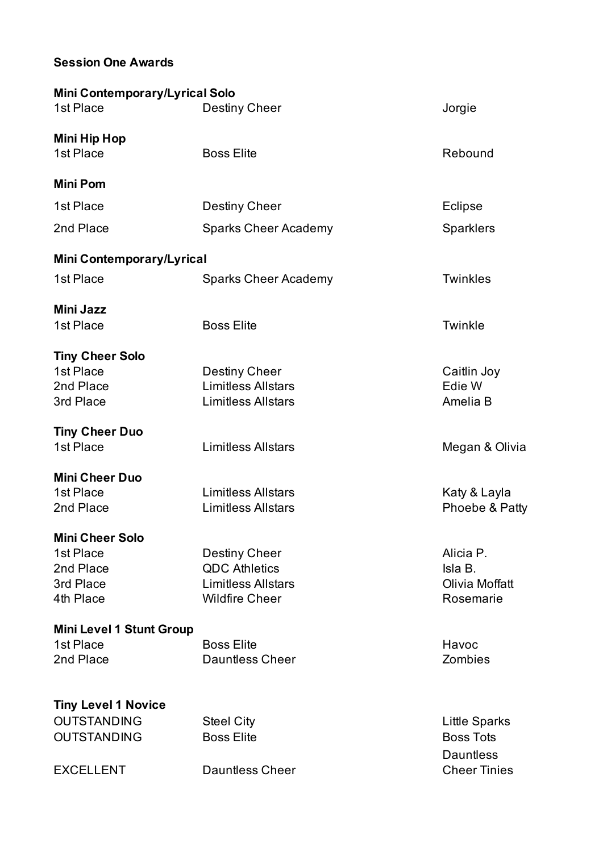## **Session One Awards**

| <b>Mini Contemporary/Lyrical Solo</b> |                             |                                      |
|---------------------------------------|-----------------------------|--------------------------------------|
| 1st Place                             | Destiny Cheer               | Jorgie                               |
| <b>Mini Hip Hop</b>                   |                             |                                      |
| 1st Place                             | <b>Boss Elite</b>           | Rebound                              |
| <b>Mini Pom</b>                       |                             |                                      |
| 1st Place                             | <b>Destiny Cheer</b>        | <b>Eclipse</b>                       |
| 2nd Place                             | <b>Sparks Cheer Academy</b> | <b>Sparklers</b>                     |
| <b>Mini Contemporary/Lyrical</b>      |                             |                                      |
| 1st Place                             | <b>Sparks Cheer Academy</b> | <b>Twinkles</b>                      |
| <b>Mini Jazz</b>                      |                             |                                      |
| 1st Place                             | <b>Boss Elite</b>           | Twinkle                              |
| <b>Tiny Cheer Solo</b>                |                             |                                      |
| 1st Place                             | Destiny Cheer               | Caitlin Joy                          |
| 2nd Place                             | <b>Limitless Allstars</b>   | Edie W                               |
| 3rd Place                             | <b>Limitless Allstars</b>   | Amelia B                             |
| <b>Tiny Cheer Duo</b>                 |                             |                                      |
| 1st Place                             | <b>Limitless Allstars</b>   | Megan & Olivia                       |
| <b>Mini Cheer Duo</b>                 |                             |                                      |
| 1st Place                             | <b>Limitless Allstars</b>   | Katy & Layla                         |
| 2nd Place                             | <b>Limitless Allstars</b>   | Phoebe & Patty                       |
| <b>Mini Cheer Solo</b>                |                             |                                      |
| 1st Place                             | <b>Destiny Cheer</b>        | Alicia P.                            |
| 2nd Place                             | <b>QDC Athletics</b>        | Isla B.                              |
| 3rd Place                             | <b>Limitless Allstars</b>   | Olivia Moffatt                       |
| 4th Place                             | <b>Wildfire Cheer</b>       | Rosemarie                            |
| <b>Mini Level 1 Stunt Group</b>       |                             |                                      |
| 1st Place                             | <b>Boss Elite</b>           | Havoc                                |
| 2nd Place                             | <b>Dauntless Cheer</b>      | Zombies                              |
| <b>Tiny Level 1 Novice</b>            |                             |                                      |
| <b>OUTSTANDING</b>                    | <b>Steel City</b>           | <b>Little Sparks</b>                 |
|                                       |                             |                                      |
| <b>OUTSTANDING</b>                    | <b>Boss Elite</b>           | <b>Boss Tots</b><br><b>Dauntless</b> |
| <b>EXCELLENT</b>                      | <b>Dauntless Cheer</b>      | <b>Cheer Tinies</b>                  |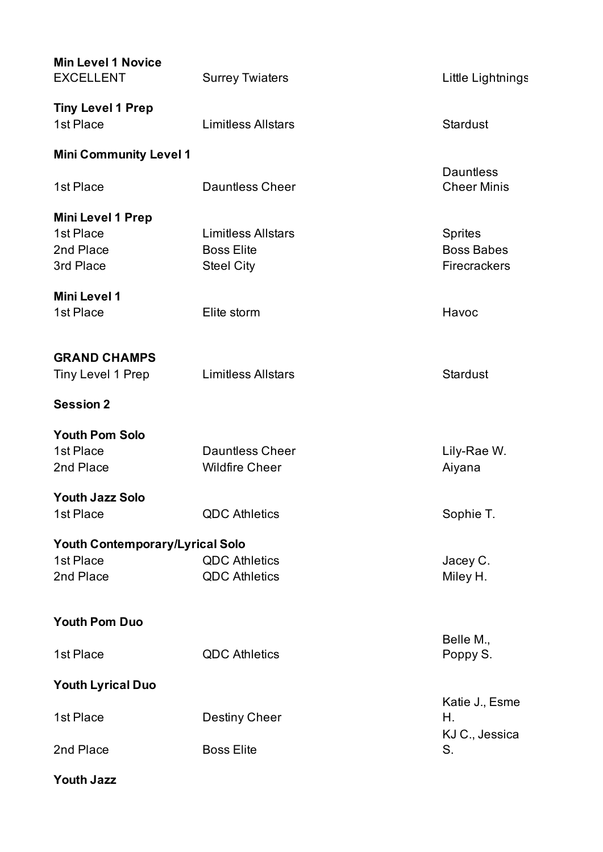| <b>Min Level 1 Novice</b><br><b>EXCELLENT</b>                   | <b>Surrey Twiaters</b>                                              | Little Lightnings                                          |
|-----------------------------------------------------------------|---------------------------------------------------------------------|------------------------------------------------------------|
| <b>Tiny Level 1 Prep</b><br>1st Place                           | <b>Limitless Allstars</b>                                           | <b>Stardust</b>                                            |
| <b>Mini Community Level 1</b>                                   |                                                                     |                                                            |
| 1st Place                                                       | <b>Dauntless Cheer</b>                                              | <b>Dauntless</b><br><b>Cheer Minis</b>                     |
| <b>Mini Level 1 Prep</b><br>1st Place<br>2nd Place<br>3rd Place | <b>Limitless Allstars</b><br><b>Boss Elite</b><br><b>Steel City</b> | <b>Sprites</b><br><b>Boss Babes</b><br><b>Firecrackers</b> |
| <b>Mini Level 1</b><br>1st Place                                | Elite storm                                                         | Havoc                                                      |
| <b>GRAND CHAMPS</b><br>Tiny Level 1 Prep                        | <b>Limitless Allstars</b>                                           | <b>Stardust</b>                                            |
| <b>Session 2</b>                                                |                                                                     |                                                            |
| <b>Youth Pom Solo</b><br>1st Place<br>2nd Place                 | <b>Dauntless Cheer</b><br><b>Wildfire Cheer</b>                     | Lily-Rae W.<br>Aiyana                                      |
| <b>Youth Jazz Solo</b><br>1st Place                             | <b>QDC Athletics</b>                                                | Sophie T.                                                  |
| Youth Contemporary/Lyrical Solo                                 |                                                                     |                                                            |
| 1st Place<br>2nd Place                                          | <b>QDC Athletics</b><br><b>QDC Athletics</b>                        | Jacey C.<br>Miley H.                                       |
| <b>Youth Pom Duo</b>                                            |                                                                     |                                                            |
| 1st Place                                                       | <b>QDC Athletics</b>                                                | Belle M.,<br>Poppy S.                                      |
| <b>Youth Lyrical Duo</b>                                        |                                                                     |                                                            |
| 1st Place                                                       | <b>Destiny Cheer</b>                                                | Katie J., Esme<br>Η.<br>KJ C., Jessica                     |
| 2nd Place                                                       | <b>Boss Elite</b>                                                   | S.                                                         |
| <b>Youth Jazz</b>                                               |                                                                     |                                                            |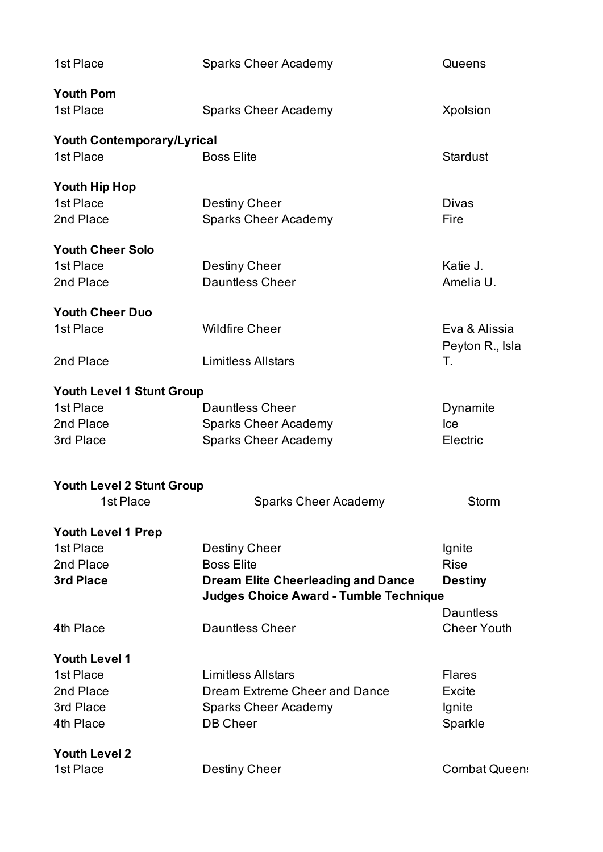| 1st Place                                     | <b>Sparks Cheer Academy</b>                   | Queens               |
|-----------------------------------------------|-----------------------------------------------|----------------------|
| <b>Youth Pom</b><br>1st Place                 | <b>Sparks Cheer Academy</b>                   | <b>Xpolsion</b>      |
| <b>Youth Contemporary/Lyrical</b>             |                                               |                      |
| 1st Place                                     | <b>Boss Elite</b>                             | <b>Stardust</b>      |
| Youth Hip Hop                                 |                                               |                      |
| 1st Place                                     | <b>Destiny Cheer</b>                          | <b>Divas</b>         |
| 2nd Place                                     | <b>Sparks Cheer Academy</b>                   | Fire                 |
| <b>Youth Cheer Solo</b>                       |                                               |                      |
| 1st Place                                     | Destiny Cheer                                 | Katie J.             |
| 2nd Place                                     | <b>Dauntless Cheer</b>                        | Amelia U.            |
| <b>Youth Cheer Duo</b>                        |                                               |                      |
| 1st Place                                     | <b>Wildfire Cheer</b>                         | Eva & Alissia        |
|                                               |                                               | Peyton R., Isla      |
| 2nd Place                                     | <b>Limitless Allstars</b>                     | Т.                   |
| <b>Youth Level 1 Stunt Group</b>              |                                               |                      |
| 1st Place                                     | <b>Dauntless Cheer</b>                        | Dynamite             |
| 2nd Place                                     | <b>Sparks Cheer Academy</b>                   | Ice                  |
| 3rd Place                                     | <b>Sparks Cheer Academy</b>                   | Electric             |
|                                               |                                               |                      |
| <b>Youth Level 2 Stunt Group</b><br>1st Place | <b>Sparks Cheer Academy</b>                   | Storm                |
|                                               |                                               |                      |
| <b>Youth Level 1 Prep</b>                     |                                               |                      |
| 1st Place                                     | Destiny Cheer                                 | Ignite               |
| 2nd Place                                     | <b>Boss Elite</b>                             | <b>Rise</b>          |
| 3rd Place                                     | <b>Dream Elite Cheerleading and Dance</b>     | <b>Destiny</b>       |
|                                               | <b>Judges Choice Award - Tumble Technique</b> |                      |
|                                               |                                               | <b>Dauntless</b>     |
| 4th Place                                     | <b>Dauntless Cheer</b>                        | <b>Cheer Youth</b>   |
| <b>Youth Level 1</b>                          |                                               |                      |
| 1st Place                                     | <b>Limitless Allstars</b>                     | <b>Flares</b>        |
| 2nd Place                                     | Dream Extreme Cheer and Dance                 | <b>Excite</b>        |
| 3rd Place                                     | <b>Sparks Cheer Academy</b>                   | Ignite               |
| 4th Place                                     | <b>DB Cheer</b>                               | Sparkle              |
| <b>Youth Level 2</b>                          |                                               |                      |
| 1st Place                                     | Destiny Cheer                                 | <b>Combat Queen:</b> |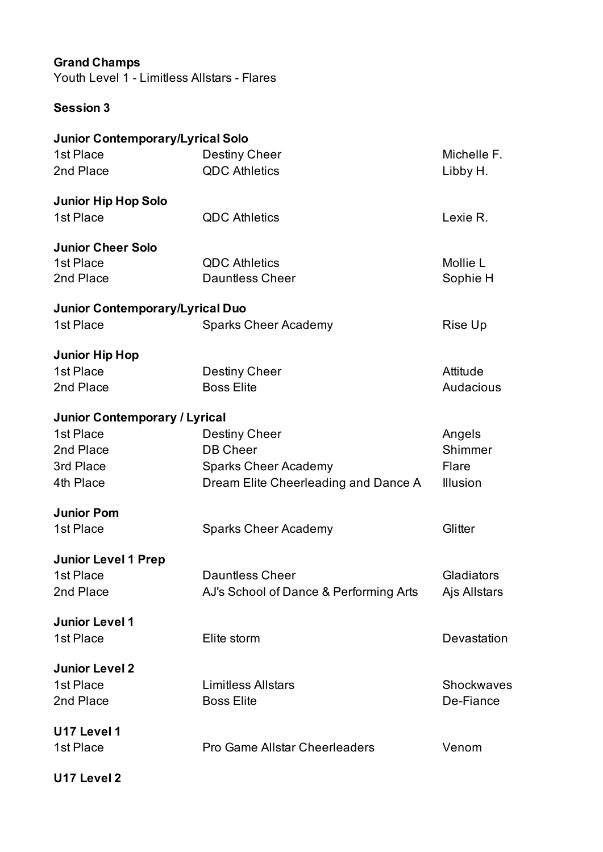## **Grand Champs**

Youth Level 1 - Limitless Allstars - Flares

## **Session 3**

| <b>Junior Contemporary/Lyrical Solo</b> |                                        |                 |
|-----------------------------------------|----------------------------------------|-----------------|
| 1st Place                               | <b>Destiny Cheer</b>                   | Michelle F.     |
| 2nd Place                               | <b>QDC Athletics</b>                   | Libby H.        |
| <b>Junior Hip Hop Solo</b>              |                                        |                 |
| 1st Place                               | <b>QDC Athletics</b>                   | Lexie R.        |
| <b>Junior Cheer Solo</b>                |                                        |                 |
| 1st Place                               | <b>QDC Athletics</b>                   | Mollie L        |
| 2nd Place                               | <b>Dauntless Cheer</b>                 | Sophie H        |
| <b>Junior Contemporary/Lyrical Duo</b>  |                                        |                 |
| 1st Place                               | <b>Sparks Cheer Academy</b>            | Rise Up         |
| <b>Junior Hip Hop</b>                   |                                        |                 |
| 1st Place                               | <b>Destiny Cheer</b>                   | Attitude        |
| 2nd Place                               | <b>Boss Elite</b>                      | Audacious       |
| <b>Junior Contemporary / Lyrical</b>    |                                        |                 |
| 1st Place                               | Destiny Cheer                          | Angels          |
| 2nd Place                               | <b>DB Cheer</b>                        | Shimmer         |
| 3rd Place                               | <b>Sparks Cheer Academy</b>            | Flare           |
| 4th Place                               | Dream Elite Cheerleading and Dance A   | <b>Illusion</b> |
| <b>Junior Pom</b>                       |                                        |                 |
| 1st Place                               | <b>Sparks Cheer Academy</b>            | Glitter         |
| <b>Junior Level 1 Prep</b>              |                                        |                 |
| 1st Place                               | <b>Dauntless Cheer</b>                 | Gladiators      |
| 2nd Place                               | AJ's School of Dance & Performing Arts | Ajs Allstars    |
| <b>Junior Level 1</b>                   |                                        |                 |
| 1st Place                               | Elite storm                            | Devastation     |
| <b>Junior Level 2</b>                   |                                        |                 |
| 1st Place                               | <b>Limitless Allstars</b>              | Shockwaves      |
| 2nd Place                               | <b>Boss Elite</b>                      | De-Fiance       |
| U17 Level 1                             |                                        |                 |
| 1st Place                               | <b>Pro Game Allstar Cheerleaders</b>   | Venom           |
| U17 Level 2                             |                                        |                 |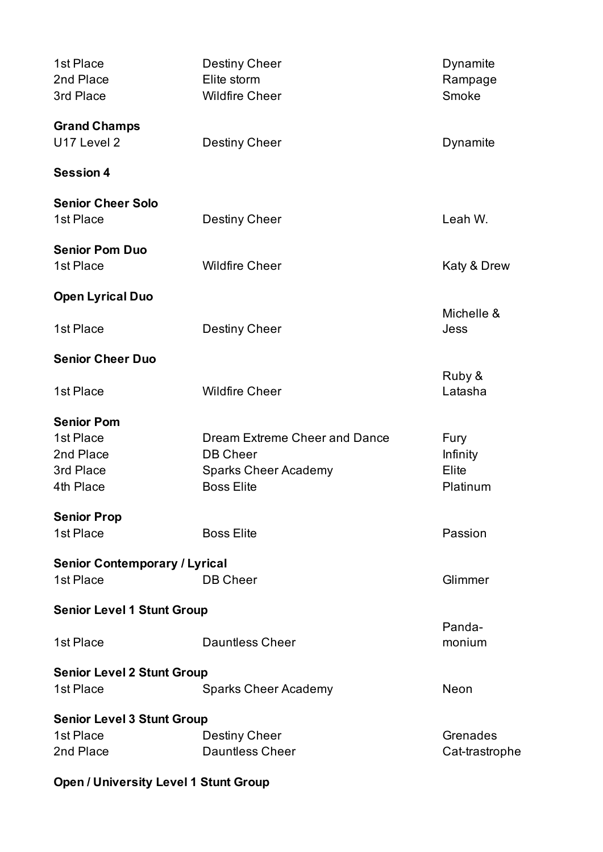| 1st Place<br>2nd Place                       | <b>Destiny Cheer</b><br>Elite storm  | Dynamite<br>Rampage |
|----------------------------------------------|--------------------------------------|---------------------|
| 3rd Place                                    | <b>Wildfire Cheer</b>                | Smoke               |
| <b>Grand Champs</b>                          |                                      |                     |
| U17 Level 2                                  | <b>Destiny Cheer</b>                 | Dynamite            |
| <b>Session 4</b>                             |                                      |                     |
| <b>Senior Cheer Solo</b>                     |                                      |                     |
| 1st Place                                    | <b>Destiny Cheer</b>                 | Leah W.             |
| <b>Senior Pom Duo</b>                        |                                      |                     |
| 1st Place                                    | <b>Wildfire Cheer</b>                | Katy & Drew         |
| <b>Open Lyrical Duo</b>                      |                                      | Michelle &          |
| 1st Place                                    | <b>Destiny Cheer</b>                 | Jess                |
| <b>Senior Cheer Duo</b>                      |                                      |                     |
| 1st Place                                    | <b>Wildfire Cheer</b>                | Ruby &<br>Latasha   |
| <b>Senior Pom</b>                            |                                      |                     |
| 1st Place                                    | <b>Dream Extreme Cheer and Dance</b> | Fury                |
| 2nd Place                                    | <b>DB Cheer</b>                      | Infinity            |
| 3rd Place                                    | <b>Sparks Cheer Academy</b>          | Elite               |
| 4th Place                                    | <b>Boss Elite</b>                    | Platinum            |
| <b>Senior Prop</b>                           |                                      |                     |
| 1st Place                                    | <b>Boss Elite</b>                    | Passion             |
| <b>Senior Contemporary / Lyrical</b>         |                                      |                     |
| 1st Place                                    | <b>DB Cheer</b>                      | Glimmer             |
| <b>Senior Level 1 Stunt Group</b>            |                                      |                     |
| 1st Place                                    | <b>Dauntless Cheer</b>               | Panda-<br>monium    |
|                                              |                                      |                     |
| <b>Senior Level 2 Stunt Group</b>            |                                      |                     |
| 1st Place                                    | <b>Sparks Cheer Academy</b>          | <b>Neon</b>         |
| <b>Senior Level 3 Stunt Group</b>            |                                      |                     |
| 1st Place                                    | <b>Destiny Cheer</b>                 | Grenades            |
| 2nd Place                                    | <b>Dauntless Cheer</b>               | Cat-trastrophe      |
| <b>Open / University Level 1 Stunt Group</b> |                                      |                     |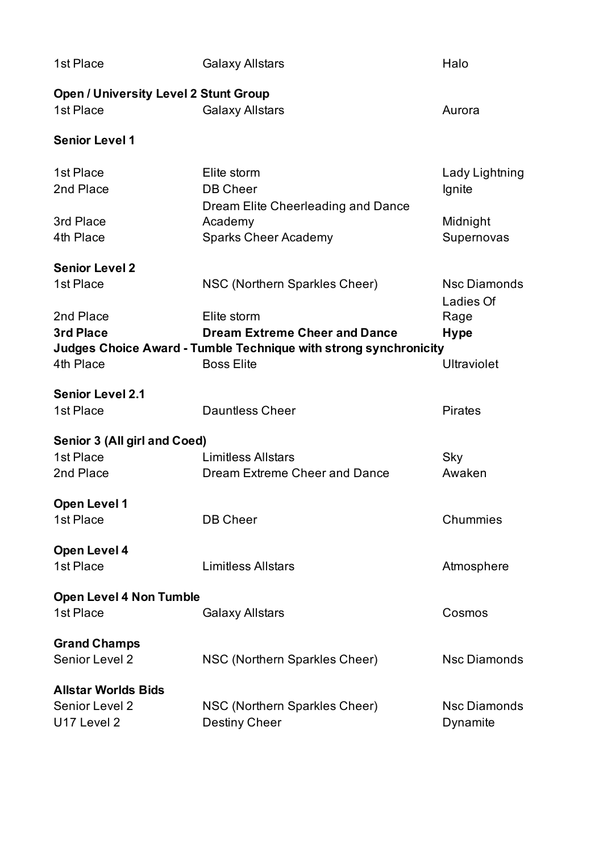| 1st Place                                                           | <b>Galaxy Allstars</b>                                                                                                                                          | Halo                                                    |
|---------------------------------------------------------------------|-----------------------------------------------------------------------------------------------------------------------------------------------------------------|---------------------------------------------------------|
| <b>Open / University Level 2 Stunt Group</b><br>1st Place           | <b>Galaxy Allstars</b>                                                                                                                                          | Aurora                                                  |
| <b>Senior Level 1</b>                                               |                                                                                                                                                                 |                                                         |
| 1st Place<br>2nd Place<br>3rd Place<br>4th Place                    | Elite storm<br><b>DB Cheer</b><br>Dream Elite Cheerleading and Dance<br>Academy<br><b>Sparks Cheer Academy</b>                                                  | Lady Lightning<br>Ignite<br>Midnight<br>Supernovas      |
| <b>Senior Level 2</b><br>1st Place<br>2nd Place<br><b>3rd Place</b> | NSC (Northern Sparkles Cheer)<br>Elite storm<br><b>Dream Extreme Cheer and Dance</b><br><b>Judges Choice Award - Tumble Technique with strong synchronicity</b> | <b>Nsc Diamonds</b><br>Ladies Of<br>Rage<br><b>Hype</b> |
| 4th Place                                                           | <b>Boss Elite</b>                                                                                                                                               | <b>Ultraviolet</b>                                      |
| <b>Senior Level 2.1</b><br>1st Place                                | <b>Dauntless Cheer</b>                                                                                                                                          | <b>Pirates</b>                                          |
| Senior 3 (All girl and Coed)<br>1st Place<br>2nd Place              | <b>Limitless Allstars</b><br>Dream Extreme Cheer and Dance                                                                                                      | Sky<br>Awaken                                           |
| <b>Open Level 1</b><br>1st Place                                    | <b>DB Cheer</b>                                                                                                                                                 | Chummies                                                |
| <b>Open Level 4</b><br>1st Place                                    | <b>Limitless Allstars</b>                                                                                                                                       | Atmosphere                                              |
| <b>Open Level 4 Non Tumble</b><br>1st Place                         | <b>Galaxy Allstars</b>                                                                                                                                          | Cosmos                                                  |
| <b>Grand Champs</b><br>Senior Level 2                               | NSC (Northern Sparkles Cheer)                                                                                                                                   | <b>Nsc Diamonds</b>                                     |
| <b>Allstar Worlds Bids</b><br>Senior Level 2<br>U17 Level 2         | NSC (Northern Sparkles Cheer)<br><b>Destiny Cheer</b>                                                                                                           | <b>Nsc Diamonds</b><br>Dynamite                         |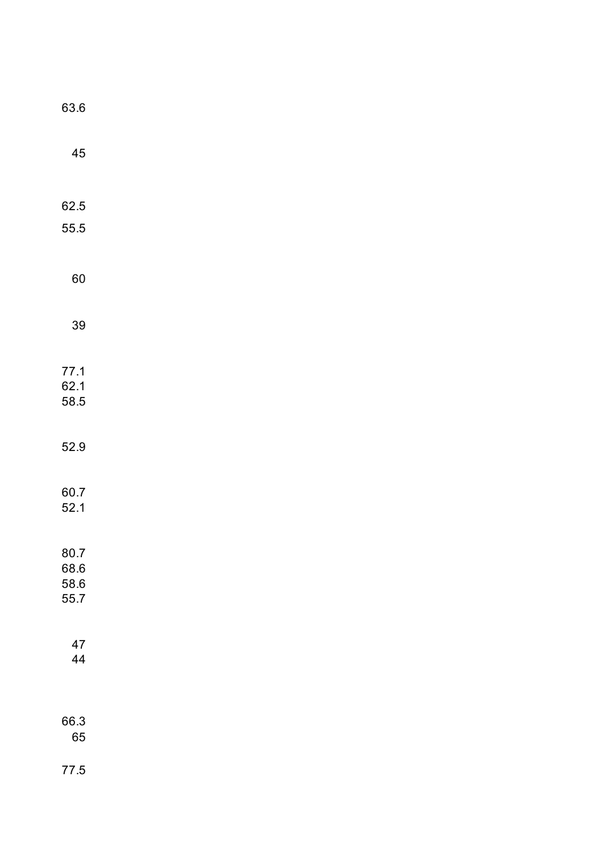| 63.6                 |  |  |  |
|----------------------|--|--|--|
| 45                   |  |  |  |
|                      |  |  |  |
| 62.5                 |  |  |  |
| 55.5                 |  |  |  |
| 60                   |  |  |  |
| 39                   |  |  |  |
| 77.1<br>62.1<br>58.5 |  |  |  |
|                      |  |  |  |
| 52.9                 |  |  |  |
| 60.7<br>52.1         |  |  |  |
|                      |  |  |  |
| 80.7<br>68.6         |  |  |  |
| 58.6                 |  |  |  |
| 55.7                 |  |  |  |
| 47                   |  |  |  |
| 44                   |  |  |  |
| 66.3                 |  |  |  |
| 65                   |  |  |  |
| 77.5                 |  |  |  |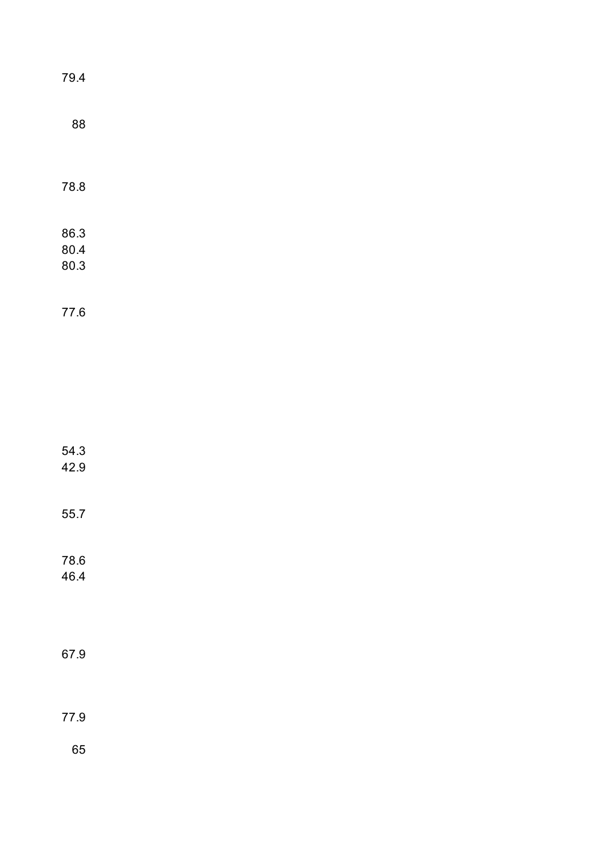| 79.4 |  |  |  |
|------|--|--|--|
| 88   |  |  |  |
|      |  |  |  |
| 78.8 |  |  |  |
| 86.3 |  |  |  |
| 80.4 |  |  |  |
| 80.3 |  |  |  |
|      |  |  |  |
| 77.6 |  |  |  |
|      |  |  |  |
|      |  |  |  |
|      |  |  |  |
|      |  |  |  |
|      |  |  |  |
| 54.3 |  |  |  |
| 42.9 |  |  |  |
|      |  |  |  |
| 55.7 |  |  |  |
|      |  |  |  |
| 78.6 |  |  |  |
| 46.4 |  |  |  |
|      |  |  |  |
|      |  |  |  |
|      |  |  |  |
| 67.9 |  |  |  |
|      |  |  |  |
|      |  |  |  |
| 77.9 |  |  |  |
| 65   |  |  |  |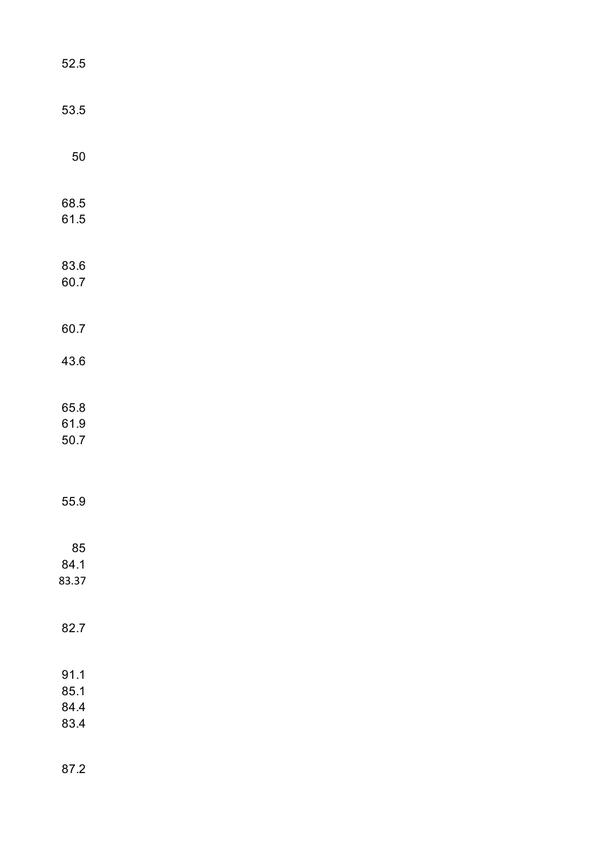| 52.5                         |  |  |
|------------------------------|--|--|
| 53.5                         |  |  |
| 50                           |  |  |
| 68.5<br>61.5                 |  |  |
| 83.6<br>60.7                 |  |  |
| 60.7                         |  |  |
| 43.6                         |  |  |
| 65.8<br>61.9<br>50.7         |  |  |
| 55.9                         |  |  |
| 85<br>84.1<br>83.37          |  |  |
| 82.7                         |  |  |
| 91.1<br>85.1<br>84.4<br>83.4 |  |  |
| 87.2                         |  |  |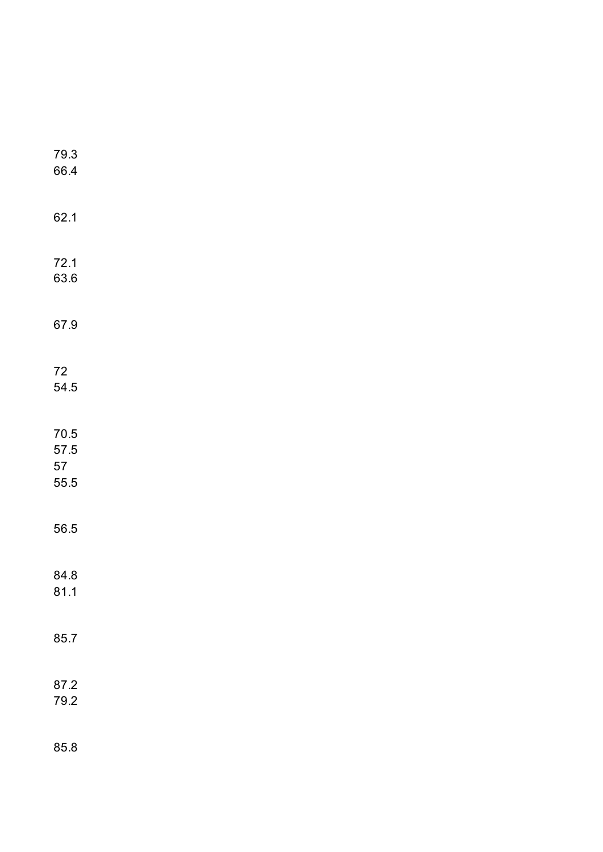| 79.3<br>66.4                       |  |  |  |
|------------------------------------|--|--|--|
| 62.1                               |  |  |  |
| 72.1<br>63.6                       |  |  |  |
| 67.9                               |  |  |  |
| $72\,$<br>54.5                     |  |  |  |
| $70.5\,$<br>$57.5\,$<br>57<br>55.5 |  |  |  |
| 56.5                               |  |  |  |
| 84.8<br>81.1                       |  |  |  |
| 85.7                               |  |  |  |
| 87.2<br>79.2                       |  |  |  |
| 85.8                               |  |  |  |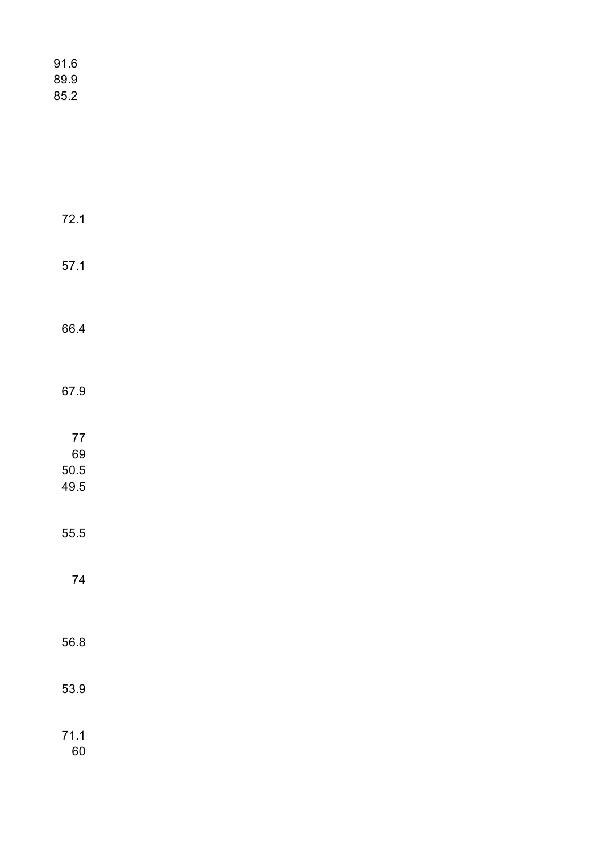| 91.6<br>89.9<br>85.2     |  |  |  |
|--------------------------|--|--|--|
|                          |  |  |  |
| 72.1                     |  |  |  |
| 57.1                     |  |  |  |
| 66.4                     |  |  |  |
| 67.9                     |  |  |  |
| 77<br>69<br>50.5<br>49.5 |  |  |  |
| 55.5                     |  |  |  |
| 74                       |  |  |  |
| 56.8                     |  |  |  |
| 53.9                     |  |  |  |
| 71.1                     |  |  |  |

60